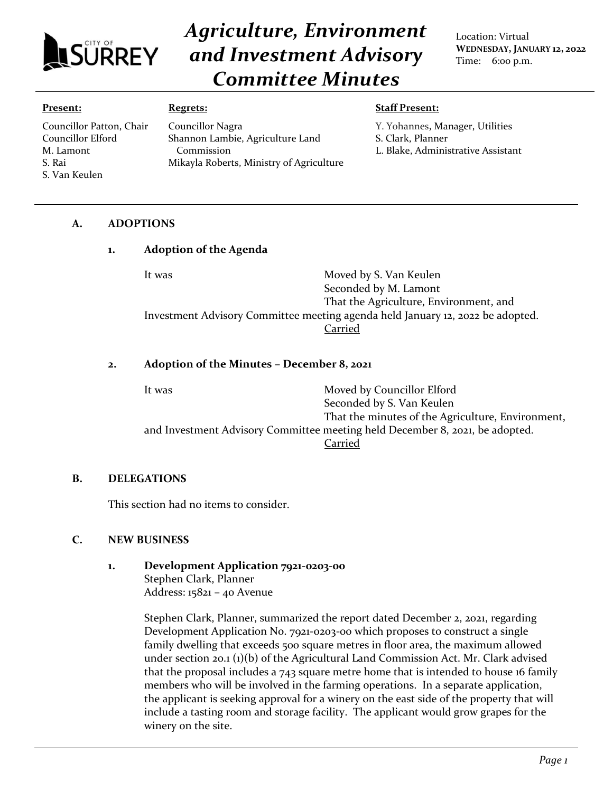

Councillor Patton, Chair Councillor Elford M. Lamont S. Rai

# *Agriculture, Environment and Investment Advisory Committee Minutes*

Location: Virtual **WEDNESDAY, JANUARY 12, 2022** Time: 6:00 p.m.

#### **Present:**

S. Van Keulen

#### **Regrets:**

Councillor Nagra

Commission

Shannon Lambie, Agriculture Land

Mikayla Roberts, Ministry of Agriculture

**Staff Present:**

Y. Yohannes**,** Manager, Utilities S. Clark, Planner

L. Blake, Administrative Assistant

### **A. ADOPTIONS**

#### **1. Adoption of the Agenda**

It was **Moved by S. Van Keulen** Seconded by M. Lamont That the Agriculture, Environment, and Investment Advisory Committee meeting agenda held January 12, 2022 be adopted. Carried

#### **2. Adoption of the Minutes – December 8, 2021**

It was **Moved by Councillor Elford** Seconded by S. Van Keulen That the minutes of the Agriculture, Environment, and Investment Advisory Committee meeting held December 8, 2021, be adopted. Carried

#### **B. DELEGATIONS**

This section had no items to consider.

#### **C. NEW BUSINESS**

**1. Development Application 7921-0203-00** Stephen Clark, Planner Address: 15821 – 40 Avenue

> Stephen Clark, Planner, summarized the report dated December 2, 2021, regarding Development Application No. 7921-0203-00 which proposes to construct a single family dwelling that exceeds 500 square metres in floor area, the maximum allowed under section 20.1 (1)(b) of the Agricultural Land Commission Act. Mr. Clark advised that the proposal includes a 743 square metre home that is intended to house 16 family members who will be involved in the farming operations. In a separate application, the applicant is seeking approval for a winery on the east side of the property that will include a tasting room and storage facility. The applicant would grow grapes for the winery on the site.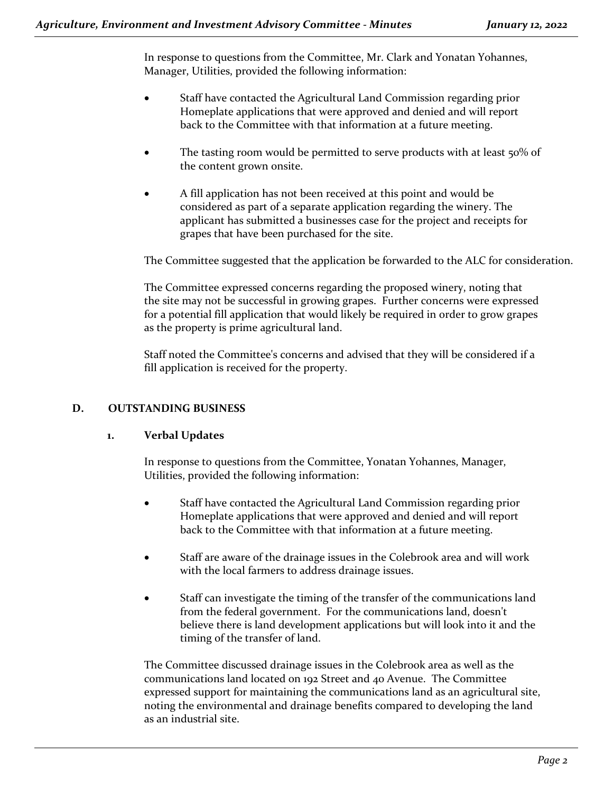In response to questions from the Committee, Mr. Clark and Yonatan Yohannes, Manager, Utilities, provided the following information:

- Staff have contacted the Agricultural Land Commission regarding prior Homeplate applications that were approved and denied and will report back to the Committee with that information at a future meeting.
- The tasting room would be permitted to serve products with at least 50% of the content grown onsite.
- A fill application has not been received at this point and would be considered as part of a separate application regarding the winery. The applicant has submitted a businesses case for the project and receipts for grapes that have been purchased for the site.

The Committee suggested that the application be forwarded to the ALC for consideration.

The Committee expressed concerns regarding the proposed winery, noting that the site may not be successful in growing grapes. Further concerns were expressed for a potential fill application that would likely be required in order to grow grapes as the property is prime agricultural land.

Staff noted the Committee's concerns and advised that they will be considered if a fill application is received for the property.

## **D. OUTSTANDING BUSINESS**

## **1. Verbal Updates**

In response to questions from the Committee, Yonatan Yohannes, Manager, Utilities, provided the following information:

- Staff have contacted the Agricultural Land Commission regarding prior Homeplate applications that were approved and denied and will report back to the Committee with that information at a future meeting.
- Staff are aware of the drainage issues in the Colebrook area and will work with the local farmers to address drainage issues.
- Staff can investigate the timing of the transfer of the communications land from the federal government. For the communications land, doesn't believe there is land development applications but will look into it and the timing of the transfer of land.

The Committee discussed drainage issues in the Colebrook area as well as the communications land located on 192 Street and 40 Avenue. The Committee expressed support for maintaining the communications land as an agricultural site, noting the environmental and drainage benefits compared to developing the land as an industrial site.